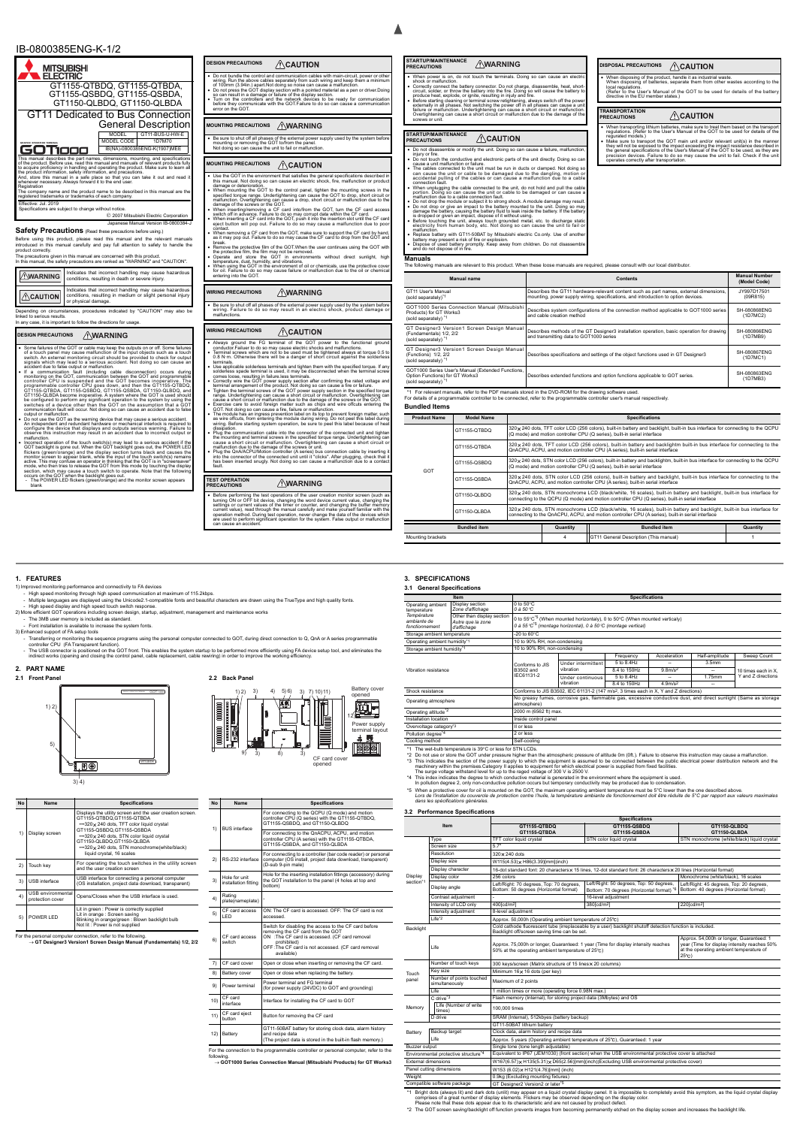• Before performing the test operations of the user creation monitor screen (such as<br>turning ON or OFF bit device, changing the word device current value, changing the<br>settings or current values of the timer or counter, an operation method. During test operation, never change the data of the devices which are used to perform significant operation for the system. False output or malfunction can cause an accident. **STARTUP/MAINTENANCE PRECAUTIONS WARNING DISPOSAL PRECAUTIONS** 

 When power is on, do not touch the terminals. Doing so can cause an electric shock or malfunction. • Correctly connect the battery connector. Do not charge, disassemble, heat, short-<br>circuit, solder, or throw the battery into the fire. Doing so will cause the battery to<br>produce heat, explode, or ignite, resulting in inj

#### **STARTUP/MAINTENANCE PRECAUTIONS**  $\bigwedge$ CAUTION

• Do not disassemble or modify the unit. Doing so can cause a failure, malfunct injury or fire. Do not touch the conductive and electronic parts of the unit directly. Doing so can cause a unit malfunction or failure. The cables connected to the unit must be run in ducts or clamped. Not doing so

- can cause the unit or cable to be damaged due to the dangling, motion or<br>accidental pulling of the cables or can cause a malfunction due to a cable<br>connection fault. connection fault.<br>When unplugging the cable connected to the unit, do not hold and pull the cab<br>portion. Doing so can cause the unit or cable to be damaged or can cause portion. Doing so can cause the unit or cable to be damaged or can cause a<br>malfunction due to a cable connection fault.
- Do not drop the module or subject it to strong shock. A module damage may result.<br>• Do not drop or give an impact to the battery mounted to the unit. Doing so may<br>damage the battery, causing the battery life battery if t

- malfunction.<br>
 Replace battery with GT11-50BAT by Mitsubishi electric Co.only. Use of another
- battery may present a risk of fire or explosion.<br>• Dispose of used battery promptly. Keep away from children. Do not disassemble<br>• and do not dispose of in fire.

 When disposing of the product, handle it as industrial waste. When disposing of batteries, separate them from other wastes according to the local regulations. iocal regulations.<br>(Refer to the User's Manual of the GOT to be used for details of the batte

 When transporting lithium batteries, make sure to treat them based on the transport regulations. (Refer to the User's Manual of the GOT to be used for details of the regurated models.) Make sure to transport the GOT main unit and/or relevant unit(s) in the manner they will not be exposed to the impact exceeding the impact resistance described in<br>the general specifications of the User's Manual of the GOT to be used, as they are<br>precision devices. Failure to do so may cause the unit

 $\triangle$ CAUTION

tive in the EU member states.)



| JESIGN PRECAUTIONS                                                                                                                                                                                                                             | /!\CAUTION                                                                                                                                                                                                                                                                                                                                                                                                                                                                                                                                                                                                                                                                                                                                                                                                                                                                                                                                                                                                                                                                                                                                                                                                                                                                                                                                               |
|------------------------------------------------------------------------------------------------------------------------------------------------------------------------------------------------------------------------------------------------|----------------------------------------------------------------------------------------------------------------------------------------------------------------------------------------------------------------------------------------------------------------------------------------------------------------------------------------------------------------------------------------------------------------------------------------------------------------------------------------------------------------------------------------------------------------------------------------------------------------------------------------------------------------------------------------------------------------------------------------------------------------------------------------------------------------------------------------------------------------------------------------------------------------------------------------------------------------------------------------------------------------------------------------------------------------------------------------------------------------------------------------------------------------------------------------------------------------------------------------------------------------------------------------------------------------------------------------------------------|
| error on the GOT.                                                                                                                                                                                                                              | ● Do not bundle the control and communication cables with main-circuit, power or other<br>wiring. Run the above cables separately from such wiring and keep them a minimum<br>of 100mm (3.94in.) apart.Not doing so noise can cause a malfunction.<br>$\bullet~$ Do not press the GOT display section with a pointed material as a pen or driver.Doing<br>so can result in a damage or failure of the display section.<br>Turn on the controllers and the network devices to be ready for communication<br>before they communicate with the GOT.Failure to do so can cause a communication                                                                                                                                                                                                                                                                                                                                                                                                                                                                                                                                                                                                                                                                                                                                                               |
| <b>MOUNTING PRECAUTIONS</b>                                                                                                                                                                                                                    | <b>/!\WARNING</b>                                                                                                                                                                                                                                                                                                                                                                                                                                                                                                                                                                                                                                                                                                                                                                                                                                                                                                                                                                                                                                                                                                                                                                                                                                                                                                                                        |
| mounting or removing the GOT to/from the panel.<br>Not doing so can cause the unit to fail or malfunction.                                                                                                                                     | Be sure to shut off all phases of the external power supply used by the system before                                                                                                                                                                                                                                                                                                                                                                                                                                                                                                                                                                                                                                                                                                                                                                                                                                                                                                                                                                                                                                                                                                                                                                                                                                                                    |
| <b>MOUNTING PRECAUTIONS</b>                                                                                                                                                                                                                    | ∕∖∖CAUTION                                                                                                                                                                                                                                                                                                                                                                                                                                                                                                                                                                                                                                                                                                                                                                                                                                                                                                                                                                                                                                                                                                                                                                                                                                                                                                                                               |
| damage or deterioration.<br>damage of the screws or the GOT.<br>contact.<br>break.<br>the protective film, the film may not be removed.<br>temperature, dust, humidity, and vibrations.<br>entering into the GOT.<br><b>WIRING PRECAUTIONS</b> | Use the GOT in the environment that satisfies the general specifications described in<br>this manual. Not doing so can cause an electric shock, fire, malfunction or product<br>When mounting the GOT to the control panel, tighten the mounting screws in the<br>specified torque range. Undertightening can cause the GOT to drop, short circuit or<br>malfunction. Overtightening can cause a drop, short circuit or malfunction due to the<br>• When inserting/removing a CF card into/from the GOT, turn the CF card access<br>switch off in advance. Failure to do so may corrupt data within the CF card.<br>• When inserting a CF card into the GOT, push it into the insertion slot until the CF card<br>eject button will pop out. Failure to do so may cause a malfunction due to poor<br>• When removing a CF card from the GOT, make sure to support the CF card by hand,<br>as it may pop out. Failure to do so may cause the CF card to drop from the GÓT and<br>• Remove the protective film of the GOT. When the user continues using the GOT with<br>. Operate and store the GOT in environments without direct sunlight,<br>high<br>When using the GOT in the environment of oil or chemicals, use the protective cover<br>for oil. Failure to do so may cause failure or malfunction due to the oil or chemical<br><u>/\</u> WARNING |
| malfunctions.                                                                                                                                                                                                                                  | Be sure to shut off all phases of the external power supply used by the system before<br>wiring. Failure to do so may result in an electric shock, product damage or                                                                                                                                                                                                                                                                                                                                                                                                                                                                                                                                                                                                                                                                                                                                                                                                                                                                                                                                                                                                                                                                                                                                                                                     |
| <b>WIRING PRECAUTIONS</b>                                                                                                                                                                                                                      | ∕!∖CAUTION                                                                                                                                                                                                                                                                                                                                                                                                                                                                                                                                                                                                                                                                                                                                                                                                                                                                                                                                                                                                                                                                                                                                                                                                                                                                                                                                               |
| terminals.<br>comes loose, resulting in failure.less terminals.<br>N <sub>0</sub><br>t doin                                                                                                                                                    | Always ground the FG terminal of the GOT power to the functional ground<br>conductor. Failuer to do so may cause electric shocks and malfunctions.<br>Terminal screws which are not to be used must be tightened always at torque 0.5 to<br>0.8 N·m. Otherwise there will be a danger of short circuit against the solderless<br>• Use applicable solderless terminals and tighten them with the specified torque. If any<br>solderless spade terminal is used, it may be disconnected when the terminal screw<br>• Correctly wire the GOT power supply section after confirming the rated voltage and<br>terminal arrangement of the product. Not doing so can cause a fire or failure.<br>Tighten the terminal screws of the GOT power supply section in the specified torque<br>range. Undertightening can cause a short circuit or malfunction. Overtightening can<br>cause a short circuit or malfunction due to the damage of the screws or the GOT.<br>$\bullet$ Exercise care to avoid foreign matter such as chips and wire offcuts entering the<br>$f_{\alpha}$<br><br>ا د د<br>$f_{\text{max}}$                                                                                                                                                                                                                                               |

For the connection to the programmable controller or personal computer, refer to the follo

**Manuals**

The following manuals are relevant to this product. When these loose manuals are required, please consult with our local distributo

\*1 For relevant manuals, refer to the PDF manuals stored in the DVD-ROM for the drawing software used. For details of a programmable controller to be connected, refer to the programmable controller user's manual respectively.

**Bundled Items**

**TRANSPORTATION PRECAUTIONS**

| <b>Manual name</b>                                                                                           | <b>Manual Number</b><br><b>Contents</b>                                                                                                                                     |                          |  |  |
|--------------------------------------------------------------------------------------------------------------|-----------------------------------------------------------------------------------------------------------------------------------------------------------------------------|--------------------------|--|--|
| GT11 User's Manual<br>(sold separately)*1                                                                    | Describes the GT11 hardware-relevant content such as part names, external dimensions,<br>mounting, power supply wiring, specifications, and introduction to option devices. | JY997D17501<br>(09R815)  |  |  |
| GOT1000 Series Connection Manual (Mitsubishi<br>Products) for GT Works3<br>(sold separately) *1              | Describes system configurations of the connection method applicable to GOT1000 series<br>and cable creation method                                                          | SH-080868ENG<br>(1D7MC2) |  |  |
| GT Designer3 Version1 Screen Design Manual<br>(Fundamentals) 1/2, 2/2<br>(sold separately) *1                | Describes methods of the GT Designer3 installation operation, basic operation for drawing<br>and transmitting data to GOT1000 series                                        | SH-080866ENG<br>(1D7MB9) |  |  |
| GT Designer3 Version1 Screen Design Manual<br>(Functions) 1/2, 2/2<br>(sold separately) *1                   | Describes specifications and settings of the object functions used in GT Designer3                                                                                          | SH-080867ENG<br>(1D7MC1) |  |  |
| GOT1000 Series User's Manual (Extended Functions,<br>Option Functions) for GT Works3<br>(sold separately) *1 | Describes extended functions and option functions applicable to GOT series.                                                                                                 | SH-080863ENG<br>(1D7MB3) |  |  |

| <b>Product Name</b> | <b>Model Name</b>   | <b>Specifications</b>                                                                                                                                                                                                      |                                                                                                                                                                                                                            |                                                                                                                                                                                                           |          |  |  |
|---------------------|---------------------|----------------------------------------------------------------------------------------------------------------------------------------------------------------------------------------------------------------------------|----------------------------------------------------------------------------------------------------------------------------------------------------------------------------------------------------------------------------|-----------------------------------------------------------------------------------------------------------------------------------------------------------------------------------------------------------|----------|--|--|
|                     | GT1155-QTBDQ        |                                                                                                                                                                                                                            |                                                                                                                                                                                                                            | 320 x 240 dots, TFT color LCD (256 colors), built-in battery and backlight, built-in bus interface for connecting to the QCPU<br>(Q mode) and motion controller CPU (Q series), built-in serial interface |          |  |  |
|                     | GT1155-QTBDA        |                                                                                                                                                                                                                            | 320 x 240 dots, TFT color LCD (256 colors), built-in battery and backlightm built-in bus interface for connecting to the<br>QnACPU, ACPU, and motion controller CPU (A series), built-in serial interface                  |                                                                                                                                                                                                           |          |  |  |
| GOT                 | GT1155-QSBDQ        |                                                                                                                                                                                                                            | 320 x 240 dots, STN color LCD (256 colors), built-in battery and backlightm, built-in bus interface for connecting to the QCPU<br>(Q mode) and motion controller CPU (Q series), built-in serial interface                 |                                                                                                                                                                                                           |          |  |  |
|                     | GT1155-QSBDA        | 320 x 240 dots, STN color LCD (256 colors), built-in battery and backlight, built-in bus interface for connecting to the<br>QnACPU, ACPU, and motion controller CPU (A series), built-in serial interface                  |                                                                                                                                                                                                                            |                                                                                                                                                                                                           |          |  |  |
|                     | GT1150-QLBDQ        |                                                                                                                                                                                                                            | 320 x 240 dots, STN monochrome LCD (black/white, 16 scales), built-in battery and backlight, built-in bus interface for<br>connecting to the QCPU (Q mode) and motion controller CPU (Q series), built-in serial interface |                                                                                                                                                                                                           |          |  |  |
|                     | GT1150-QLBDA        | 320 x 240 dots, STN monochrome LCD (black/white, 16 scales), built-in battery and backlight, built-in bus interface for<br>connecting to the QnACPU, ACPU, and motion controller CPU (A series), built-in serial interface |                                                                                                                                                                                                                            |                                                                                                                                                                                                           |          |  |  |
|                     | <b>Bundled item</b> |                                                                                                                                                                                                                            | Quantity                                                                                                                                                                                                                   | <b>Bundled item</b>                                                                                                                                                                                       | Quantity |  |  |
| Mounting brackets   |                     |                                                                                                                                                                                                                            | 4                                                                                                                                                                                                                          | GT11 General Description (This manual)                                                                                                                                                                    |          |  |  |

#### **1. FEATURES**

1) Improved monitoring performance and connectivity to FA devices

High speed monitoring through high speed communication at maximum of 115.2kbps.

- Multiple languages are displayed using the Unicode2.1-compatible fonts and beautiful characters are drawn using the TrueType and high quality fonts. - High speed display and high speed touch switch response.

2) More efficient GOT operations including screen design, startup, adjustment, management and maintenance works

- The 3MB user memory is included as standard. - Font installation is available to increase the system fonts.

3) Enhanced support of FA setup tools

- Transferring or monitoring the sequence programs using the personal computer connected to GOT, during direct connection to Q, QnA or A series programmable<br>controller CPU (FA Transparent function).

- The USB connector is positioned on the GOT front. This enables the system startup to be performed more efficiently using FA device setup tool, and eliminates the<br>indirect works (opening and closing the control panel, cab

#### **2. PART NAME**

**GOT1000 Series Connection Manual (Mitsubishi Products) for GT Works3**

\*1 Bright dots (always lit) and dark dots (unlit) may appear on a liquid crystal display panel. It is impossible to completely avoid this symptom, as the liquid crystal display<br>comprises of a great number of display elem

Please note that these dots appear due to its characteristic and are not caused by product defect.<br>The GOT screen saving/backlight off function prevents images from becoming permanently etched on the display screen and inc \*2 The GOT screen saving/backlight off function prevents images from becoming perm

| <b>No</b> | <b>Name</b>    | <b>Specifications</b>                                                                                                                             | <b>No</b> | Name                 | <b>Specifications</b>                                                                                                                |
|-----------|----------------|---------------------------------------------------------------------------------------------------------------------------------------------------|-----------|----------------------|--------------------------------------------------------------------------------------------------------------------------------------|
|           |                | Displays the utility screen and the user creation screen.<br>GT1155-QTBDQ.GT1155-QTBDA<br>320 x 240 dots. TFT color liquid crystal                |           | <b>BUS</b> interface | For connecting to the QCPU (Q mode) and motion<br>controller CPU (Q series) with the GT1155-QTBDQ,<br>GT1155-QSBDQ, and GT1150-QLBDQ |
|           | Display screen | GT1155-QSBDQ.GT1155-QSBDA<br>320 x 240 dots. STN color liquid crystal<br>GT1150-QLBDQ.GT1150-QLBDA<br>320 x 240 dots. STN monochrome(white/black) |           |                      | For connecting to the QnACPU, ACPU, and motion<br>controller CPU (A series) with the GT1155-QTBDA.<br>GT1155-QSBDA, and GT1150-QLBDA |



|                                                                                                                                                   |                                       | liquid crystal, 16 scales                                                                                                      | 2)             |                                                       | For connecting to a controller (bar code reader) or personal                                                                                                           |  |
|---------------------------------------------------------------------------------------------------------------------------------------------------|---------------------------------------|--------------------------------------------------------------------------------------------------------------------------------|----------------|-------------------------------------------------------|------------------------------------------------------------------------------------------------------------------------------------------------------------------------|--|
| 2)                                                                                                                                                | Touch key                             | For operating the touch switches in the utility screen<br>and the user creation screen                                         |                | RS-232 interface                                      | computer (OS install, project data download, transparent)<br>(D-sub 9-pin male)                                                                                        |  |
| 3)                                                                                                                                                | USB interface                         | USB interface for connecting a personal computer<br>(OS installation, project data download, transparent)                      | 3 <sup>1</sup> | Hole for unit<br>installation fitting                 | Hole for the inserting installation fittings (accessory) during<br>the GOT installation to the panel (4 holes at top and<br>bottom)                                    |  |
| $\vert$                                                                                                                                           | USB environmental<br>protection cover | Opens/Closes when the USB interface is used.                                                                                   | $\sim$         | Rating<br>plate(nameplate)                            |                                                                                                                                                                        |  |
| 5)                                                                                                                                                | POWER LED                             | Lit in green : Power is correctly supplied<br>Lit in orange : Screen saving<br>Blinking in orange/green : Blown backlight bulb | 5)             | CF card access<br>LED                                 | ON: The CF card is accessed. OFF: The CF card is not<br>accessed.                                                                                                      |  |
| Not lit: Power is not supplied                                                                                                                    |                                       |                                                                                                                                |                | Switch for disabling the access to the CF card before |                                                                                                                                                                        |  |
| For the personal computer connection, refer to the following.<br>$\rightarrow$ GT Designer3 Version1 Screen Design Manual (Fundamentals) 1/2, 2/2 |                                       |                                                                                                                                | 6)             | CF card access<br>switch                              | removing the CF card from the GOT<br>ON : The CF card is accessed. (CF card removal<br>prohibited)<br>OFF: The CF card is not accessed. (CF card removal<br>available) |  |
|                                                                                                                                                   |                                       |                                                                                                                                |                | CF card cover                                         | Open or close when inserting or removing the CF card.                                                                                                                  |  |
|                                                                                                                                                   |                                       |                                                                                                                                |                |                                                       |                                                                                                                                                                        |  |

3) 4)



|     |                                       | (D-sub 9-pin male)                                                                                                                                                                                                              |
|-----|---------------------------------------|---------------------------------------------------------------------------------------------------------------------------------------------------------------------------------------------------------------------------------|
| 3)  | Hole for unit<br>installation fitting | Hole for the inserting installation fittings (accessory) during<br>the GOT installation to the panel (4 holes at top and<br>bottom)                                                                                             |
| 4)  | Rating<br>plate(nameplate)            |                                                                                                                                                                                                                                 |
| 5)  | CF card access<br>LED                 | ON: The CF card is accessed. OFF: The CF card is not<br>accessed.                                                                                                                                                               |
| 6)  | CF card access<br>switch              | Switch for disabling the access to the CF card before<br>removing the CF card from the GOT<br>ON : The CF card is accessed. (CF card removal<br>prohibited)<br>OFF: The CF card is not accessed. (CF card removal<br>available) |
| 7)  | CF card cover                         | Open or close when inserting or removing the CF card.                                                                                                                                                                           |
| 8)  | Battery cover                         | Open or close when replacing the battery.                                                                                                                                                                                       |
| 9)  | Power terminal                        | Power terminal and FG terminal<br>(for power supply (24VDC) to GOT and grounding)                                                                                                                                               |
| 10) | CF card<br>interface                  | Interface for installing the CF card to GOT                                                                                                                                                                                     |
| 11) | CF card eject<br>button               | Button for removing the CF card                                                                                                                                                                                                 |
| 12) | Battery                               | GT11-50BAT battery for storing clock data, alarm history<br>and recipe data<br>(The project data is stored in the built-in flash memory.)                                                                                       |
|     |                                       |                                                                                                                                                                                                                                 |

## **3. SPECIFICATIONS**

#### **3.1 General Specifications**

|                                              | Item                                                                                                                                                                                                                                                                                                                                                                                                                                                                                                                                        |                                                                                                                                                                                          |                    | <b>Specifications</b>          |                                  |                          |                     |
|----------------------------------------------|---------------------------------------------------------------------------------------------------------------------------------------------------------------------------------------------------------------------------------------------------------------------------------------------------------------------------------------------------------------------------------------------------------------------------------------------------------------------------------------------------------------------------------------------|------------------------------------------------------------------------------------------------------------------------------------------------------------------------------------------|--------------------|--------------------------------|----------------------------------|--------------------------|---------------------|
| Operating ambient<br>temperature             | Display section<br>Zone d'affichage                                                                                                                                                                                                                                                                                                                                                                                                                                                                                                         | $0$ to $50^{\circ}$ C<br>0 à 50 °C                                                                                                                                                       |                    |                                |                                  |                          |                     |
| Température<br>ambiante de<br>fonctionnement | Other than display section<br>Autre que la zone<br>d'affichage                                                                                                                                                                                                                                                                                                                                                                                                                                                                              | 0 to $55^{\circ}$ C <sup>*5</sup> (When mounted horizontaly), 0 to $50^{\circ}$ C (When mounted verticaly)<br>0 à 55 °C <sup>*5</sup> (montage horizontal), 0 à 50 °C (montage vertical) |                    |                                |                                  |                          |                     |
| Storage ambient temperature                  |                                                                                                                                                                                                                                                                                                                                                                                                                                                                                                                                             | $-20$ to $60^{\circ}$ C                                                                                                                                                                  |                    |                                |                                  |                          |                     |
| Operating ambient humidity*1                 |                                                                                                                                                                                                                                                                                                                                                                                                                                                                                                                                             | 10 to 90% RH, non-condensing                                                                                                                                                             |                    |                                |                                  |                          |                     |
| Storage ambient humidity*1                   |                                                                                                                                                                                                                                                                                                                                                                                                                                                                                                                                             | 10 to 90% RH, non-condensing                                                                                                                                                             |                    |                                |                                  |                          |                     |
|                                              |                                                                                                                                                                                                                                                                                                                                                                                                                                                                                                                                             |                                                                                                                                                                                          |                    | Frequency                      | Acceleration                     | Half-amplitude           | Sweep Count         |
|                                              |                                                                                                                                                                                                                                                                                                                                                                                                                                                                                                                                             | Conforms to JIS                                                                                                                                                                          | Under intermittent | 5 to 8.4Hz                     | --                               | 3.5 <sub>mm</sub>        | 10 times each in X. |
| Vibration resistance                         |                                                                                                                                                                                                                                                                                                                                                                                                                                                                                                                                             | B3502 and                                                                                                                                                                                | vibration          | 8.4 to 150Hz                   | 9.8 <sub>m</sub> /s <sub>2</sub> | $\overline{\phantom{a}}$ |                     |
|                                              | IEC61131-2                                                                                                                                                                                                                                                                                                                                                                                                                                                                                                                                  | Under continuous<br>vibration                                                                                                                                                            | 5 to 8.4Hz         | --                             | $1.75$ mm                        | Y and Z directions       |                     |
|                                              |                                                                                                                                                                                                                                                                                                                                                                                                                                                                                                                                             |                                                                                                                                                                                          | 8.4 to 150Hz       | 4.9 <sub>m/s<sup>2</sup></sub> |                                  |                          |                     |
| Shock resistance                             |                                                                                                                                                                                                                                                                                                                                                                                                                                                                                                                                             | Conforms to JIS B3502, IEC 61131-2 (147 m/s <sup>2</sup> , 3 times each in X, Y and Z directions)                                                                                        |                    |                                |                                  |                          |                     |
| Operating atmosphere                         |                                                                                                                                                                                                                                                                                                                                                                                                                                                                                                                                             | No greasy fumes, corrosive gas, flammable gas, excessive conductive dust, and direct sunlight (Same as storage<br>atmosphere)                                                            |                    |                                |                                  |                          |                     |
| Operating altitude <sup>*2</sup>             |                                                                                                                                                                                                                                                                                                                                                                                                                                                                                                                                             | 2000 m (6562 ft) max.                                                                                                                                                                    |                    |                                |                                  |                          |                     |
| Installation location                        |                                                                                                                                                                                                                                                                                                                                                                                                                                                                                                                                             | Inside control panel                                                                                                                                                                     |                    |                                |                                  |                          |                     |
| Overvoltage category <sup>*3</sup>           |                                                                                                                                                                                                                                                                                                                                                                                                                                                                                                                                             | II or less                                                                                                                                                                               |                    |                                |                                  |                          |                     |
| Pollution degree*4                           |                                                                                                                                                                                                                                                                                                                                                                                                                                                                                                                                             | 2 or less                                                                                                                                                                                |                    |                                |                                  |                          |                     |
| Cooling method<br>Self-cooling               |                                                                                                                                                                                                                                                                                                                                                                                                                                                                                                                                             |                                                                                                                                                                                          |                    |                                |                                  |                          |                     |
|                                              | *1 The wet-bulb temperature is 39°C or less for STN LCDs.<br>*2 Do not use or store the GOT under pressure higher than the atmospheric pressure of altitude 0m (0ft.). Failure to observe this instruction may cause a malfunction.<br>*3 This indicates the section of the power supply to which the equipment is assumed to be connected between the public electrical power distribution network and the<br>machinery within the premises.Category II applies to equipment for which electrical power is supplied from fixed facilities. |                                                                                                                                                                                          |                    |                                |                                  |                          |                     |

machinery within the premises.Category II applies to equipment for which electrical power is supplied from fixed facilities.<br>The surge voltage withstand level for up to the raged voltage of 300 V is 2500 V.<br><sup>4</sup>4 This index

\*5 When a protective cover for oil is mounted on the GOT, the maximum operating ambient temperature must be 5°C lower than the one described above.<br>Lors de l'installation du couvercle de protection contre l'huile, la temp

# **3.2 Performance Specifications**

|                                                                 |                                            | <b>Specifications</b>                                                                                                                  |                                                                                                                                                           |                                                                                                                                                        |  |  |  |  |
|-----------------------------------------------------------------|--------------------------------------------|----------------------------------------------------------------------------------------------------------------------------------------|-----------------------------------------------------------------------------------------------------------------------------------------------------------|--------------------------------------------------------------------------------------------------------------------------------------------------------|--|--|--|--|
|                                                                 | <b>Item</b>                                | GT1155-QTBDQ<br>GT1155-QTBDA                                                                                                           | GT1155-QSBDQ<br>GT1155-QSBDA                                                                                                                              | GT1150-QLBDQ<br>GT1150-QLBDA                                                                                                                           |  |  |  |  |
|                                                                 | Type                                       | TFT color liquid crystal                                                                                                               | STN monochrome (white/black) liquid crystal                                                                                                               |                                                                                                                                                        |  |  |  |  |
|                                                                 | Screen size                                | 5.7"                                                                                                                                   |                                                                                                                                                           |                                                                                                                                                        |  |  |  |  |
|                                                                 | Resolution                                 | $320 \times 240$ dots                                                                                                                  |                                                                                                                                                           |                                                                                                                                                        |  |  |  |  |
|                                                                 | Display size                               | W115(4.53)×H86(3.39)[mm](inch)                                                                                                         |                                                                                                                                                           |                                                                                                                                                        |  |  |  |  |
|                                                                 | Display character                          | 16-dot standard font: 20 characters x 15 lines, 12-dot standard font: 26 characters x 20 lines (Horizontal format)                     |                                                                                                                                                           |                                                                                                                                                        |  |  |  |  |
| Display                                                         | Display color                              | 256 colors                                                                                                                             |                                                                                                                                                           | Monochrome (white/black), 16 scales                                                                                                                    |  |  |  |  |
| section*1                                                       | Display angle                              | Left/Right: 70 degrees, Top: 70 degrees,<br>Bottom: 50 degrees (Horizontal format)                                                     | Left/Right: 50 degrees, Top: 50 degrees,<br>٠6<br>Bottom: 70 degrees (Horizontal format)                                                                  | Left/Right: 45 degrees, Top: 20 degrees,<br>Bottom: 40 degrees (Horizontal format)                                                                     |  |  |  |  |
|                                                                 | Contrast adjustment                        |                                                                                                                                        | 16-level adjustment                                                                                                                                       |                                                                                                                                                        |  |  |  |  |
|                                                                 | Intensity of LCD only                      | 400[cd/m2]                                                                                                                             | 380[cd/m2]                                                                                                                                                | 220[cd/m2]                                                                                                                                             |  |  |  |  |
|                                                                 | Intensity adjustment                       | 8-level adjustment                                                                                                                     |                                                                                                                                                           |                                                                                                                                                        |  |  |  |  |
|                                                                 | $Life*2$                                   | Approx. 50,000h (Operating ambient temperature of 25°C)                                                                                |                                                                                                                                                           |                                                                                                                                                        |  |  |  |  |
| Backlight                                                       |                                            |                                                                                                                                        | Cold cathode fluorescent tube (irreplaceable by a user) backlight shutoff detection function is included.<br>Backlight off/screen saving time can be set. |                                                                                                                                                        |  |  |  |  |
|                                                                 | Life                                       | Approx. 75,000h or longer, Guaranteed: 1 year (Time for display intensity reaches<br>50% at the operating ambient temperature of 25°C) |                                                                                                                                                           | Approx. 54,000h or longer, Guaranteed: 1<br>year (Time for display intensity reaches 50%<br>at the operating ambient temperature of<br>$25^{\circ}$ C) |  |  |  |  |
|                                                                 | Number of touch keys                       | 300 keys/screen (Matrix structure of 15 lines x 20 columns)                                                                            |                                                                                                                                                           |                                                                                                                                                        |  |  |  |  |
| Touch                                                           | Key size                                   | Minimum 16×16 dots (per key)                                                                                                           |                                                                                                                                                           |                                                                                                                                                        |  |  |  |  |
| panel                                                           | Number of points touched<br>simultaneously | Maximum of 2 points                                                                                                                    |                                                                                                                                                           |                                                                                                                                                        |  |  |  |  |
|                                                                 | Life                                       | 1 million times or more (operating force 0.98N max.)                                                                                   |                                                                                                                                                           |                                                                                                                                                        |  |  |  |  |
|                                                                 | C drive*3                                  | Flash memory (Internal), for storing project data (3Mbytes) and OS                                                                     |                                                                                                                                                           |                                                                                                                                                        |  |  |  |  |
| Memory                                                          | Life (Number of write<br>times)            | 100,000 times                                                                                                                          |                                                                                                                                                           |                                                                                                                                                        |  |  |  |  |
|                                                                 | D drive                                    | SRAM (Internal), 512kbyes (battery backup)                                                                                             |                                                                                                                                                           |                                                                                                                                                        |  |  |  |  |
|                                                                 |                                            | GT11-50BAT lithium battery                                                                                                             |                                                                                                                                                           |                                                                                                                                                        |  |  |  |  |
| Battery                                                         | Backup target                              | Clock data, alarm history and recipe data                                                                                              |                                                                                                                                                           |                                                                                                                                                        |  |  |  |  |
|                                                                 | Life                                       | Approx. 5 years (Operating ambient temperature of 25°C), Guaranteed: 1 year                                                            |                                                                                                                                                           |                                                                                                                                                        |  |  |  |  |
| Buzzer output                                                   |                                            | Single tone (tone length adjustable)                                                                                                   |                                                                                                                                                           |                                                                                                                                                        |  |  |  |  |
|                                                                 | Environmental protective structure*4       | Equivalent to IP67 (JEM1030) (front section) when the USB environmental protective cover is attached                                   |                                                                                                                                                           |                                                                                                                                                        |  |  |  |  |
|                                                                 | <b>External dimensions</b>                 |                                                                                                                                        | W167(6.57) x H135(5.31) x D65(2.56) [mm](inch) (Excluding USB environmental protective cover)                                                             |                                                                                                                                                        |  |  |  |  |
|                                                                 | Panel cutting dimensions                   | W153 (6.02)×H121(4.76)[mm] (inch)                                                                                                      |                                                                                                                                                           |                                                                                                                                                        |  |  |  |  |
| Weight                                                          |                                            | 0.9kg (Excluding mounting fixtures)                                                                                                    |                                                                                                                                                           |                                                                                                                                                        |  |  |  |  |
| GT Designer2 Version2 or later*5<br>Compatible software package |                                            |                                                                                                                                        |                                                                                                                                                           |                                                                                                                                                        |  |  |  |  |

# IB-0800385ENG-K-1/2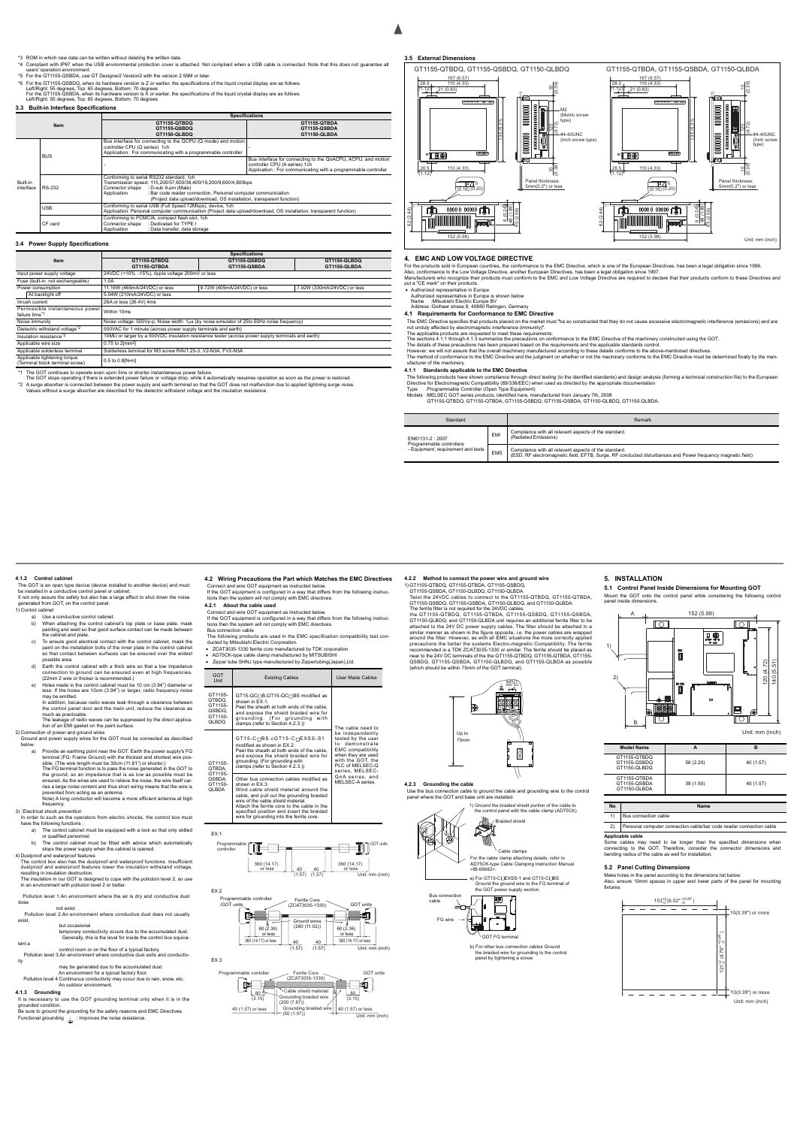#### \*3 ROM in which new data can be written without deleting the written data.

- \*4 Compliant with IP67 when the USB environmental protection cover is attached. Not compliant when a USB cable is connected. Note that this does not guarantee all users' operation environment.
- \*5 For the GT1155-QSBDA, use GT Designer2 Version2 with the version 2.59M or later. \*6 For the GT1155-QSBDQ, when its hardware version is Z or earlier, the specifications of the liquid crystal display are as follows.
- Left/Right: 55 degrees, Top: 65 degrees, Bottom: 70 degrees<br>For the GT1155-QSBDA, when its hardware version is X or earlier, the specifications of the liquid crystal display are as follows.<br>Left/Right: 55 degrees, Top: 65

# **3.3 Built-in Interface Specifications**

### **3.4 Power Supply Specifications**

|                       |            |                                                                                                                                                                                                                                                                                                              | <b>Specifications</b>                                                                                                                                          |  |  |
|-----------------------|------------|--------------------------------------------------------------------------------------------------------------------------------------------------------------------------------------------------------------------------------------------------------------------------------------------------------------|----------------------------------------------------------------------------------------------------------------------------------------------------------------|--|--|
|                       | Item       | GT1155-QTBDQ                                                                                                                                                                                                                                                                                                 | GT1155-QTBDA                                                                                                                                                   |  |  |
|                       |            | GT1155-QSBDQ                                                                                                                                                                                                                                                                                                 | GT1155-QSBDA                                                                                                                                                   |  |  |
|                       |            | GT1150-QLBDQ                                                                                                                                                                                                                                                                                                 | GT1150-QLBDA                                                                                                                                                   |  |  |
|                       | <b>BUS</b> | Bus interface for connecting to the QCPU (Q mode) and motion<br>controller CPU (Q series) 1ch<br>Application : For communicating with a programmable controller                                                                                                                                              |                                                                                                                                                                |  |  |
|                       |            |                                                                                                                                                                                                                                                                                                              | Bus interface for connecting to the QnACPU, ACPU, and motion<br>controller CPU (A series) 1ch<br>Application: For communicating with a programmable controller |  |  |
| Built-in<br>interface | RS-232     | Conforming to serial RS232 standard, 1ch<br>Transmission speed: 115,200/57,600/38,400/19,200/9,600/4,800bps<br>Connector shape : D-sub 9-pin (Male)<br>: Bar code reader connection, Personal computer communication<br>Application<br>(Project data upload/download, OS installation, transparent function) |                                                                                                                                                                |  |  |
|                       | <b>USB</b> | Conforming to serial USB (Full Speed 12Mbps), device, 1ch<br>Application: Personal computer communication (Project data upload/download, OS installation, transparent function)                                                                                                                              |                                                                                                                                                                |  |  |
|                       | CF card    | Conforming to PCMCIA, compact flash slot, 1ch<br>Connector shape : Dedicated for TYPE I<br>Application<br>: Data transfer, data storage                                                                                                                                                                      |                                                                                                                                                                |  |  |

The details of these precautions has been prepared based on the requirements and the applicable standards control.<br>However, we will not assure that the overall machinery manufactured according to these details conforms to ufacturer of the machinery.

|                                                                 | <b>Specifications</b>                                                                                           |                                                               |                             |  |  |  |
|-----------------------------------------------------------------|-----------------------------------------------------------------------------------------------------------------|---------------------------------------------------------------|-----------------------------|--|--|--|
| Item                                                            | GT1155-QSBDQ<br>GT1155-QTBDQ                                                                                    |                                                               | GT1150-QLBDQ                |  |  |  |
|                                                                 | GT1155-QTBDA                                                                                                    | GT1155-QSBDA                                                  | GT1150-QLBDA                |  |  |  |
| Input power supply voltage                                      | 24VDC (+10% -15%), ripple voltage 200mV or less                                                                 |                                                               |                             |  |  |  |
| Fuse (built-in, not exchangeable)                               | 1.0A                                                                                                            |                                                               |                             |  |  |  |
| Power consumption                                               | 11.16W (465mA/24VDC) or less                                                                                    | 9.72W (405mA/24VDC) or less                                   | 7.92W (330mA/24VDC) or less |  |  |  |
| At backlight off                                                | 5.04W (210mA/24VDC) or less                                                                                     |                                                               |                             |  |  |  |
| Inrush current                                                  | 26A or less (26.4V) 4ms                                                                                         |                                                               |                             |  |  |  |
| Permissible instantaneous power<br>failure time*1               | Within 10ms                                                                                                     |                                                               |                             |  |  |  |
| Noise immunity                                                  | Noise voltage: 500Vp-p, Noise width: 1µs (by noise simulator of 25to 60Hz noise frequency)                      |                                                               |                             |  |  |  |
| Dielectric withstand voltage*2                                  |                                                                                                                 | 500VAC for 1 minute (across power supply terminals and earth) |                             |  |  |  |
| Insulation resistance*2                                         | $10\text{M}\Omega$ or larger by a 500VDC insulation resistance tester (across power supply terminals and earth) |                                                               |                             |  |  |  |
| Applicable wire size                                            | 0.75 to 2[mm <sup>2</sup> ]                                                                                     |                                                               |                             |  |  |  |
| Applicable solderless terminal                                  | Solderless terminal for M3 screw RAV1.25-3, V2-N3A, FV2-N3A                                                     |                                                               |                             |  |  |  |
| Applicable tightening torque<br>(Terminal block terminal screw) | 0.5 to 0.8[N-m]                                                                                                 |                                                               |                             |  |  |  |

\*1 The GOT continues to operate even upon 5ms or shorter instantaneous power failure.<br>The GOT stops operating if there is extended power failure or voltage drop, while it automatically resumes operation as soon as the pow

\*2 A surge absorber is connected between the power supply and earth terminal so that the GOT does not malfunction due to applied lightning surge noise.<br>Values without a surge absorber are described for the dielectric with

#### **3.5 External Dimensions**

### **4. EMC AND LOW VOLTAGE DIRECTIVE**

For the products sold in European countries, the conformance to the EMC Directive, which is one of the European Directives, has been a legal obligation since 1996.

Also, conformance to the Low Voltage Directive, another European DIrectives, has been a legal obligation since 1997.<br>Manufacturers who recognize their products must conform to the EMC and Low Voltage Directive are required

Authorized representative in Europe

Authorized representative in Europe is shown below Name :Mitsubishi Electric Europe BV Address :Gothaer strase 8, 40880 Ratingen, Germany

**4.1 Requirements for Conformance to EMC Directive**

The EMC Directive specifies that products placed on the market must "be so constructed that they do not cause excessive electromagnetic interference (emissions) and are not unduly affected by electromagnetic interference (immunity)".

The applicable products are requested to meet these requirements.

The sections 4.1.1 through 4.1.3 summarize the precautions on conformance to the EMC Directive of the machinery constructed using the GOT.

It is necessary to use the GOT grounding terminal only when it is in the grounded condi

Be sure to ground the grounding for the safety reasons and EMC Directives.

Functional grounding  $\perp$  : Improves the noise resistance.

#### **4.1.1 Standards applicable to the EMC Directive**

The following products have shown compliance through direct testing (to the identified standards) and design analysis (forming a technical construction file) to the European<br>Directive for Electromagnetic Compatibility (89

- ZCAT3035-1330 ferrite core manufactured by TDK corporation
- AD75CK-type cable clamp manufactured by MITSUBISHI
- Ibe SHNJ type manufactured by Z

GT1155-QTBDQ, GT1155-QTBDA, GT1155-QSBDQ, GT1155-QSBDA, GT1150-QLBDQ, GT1150-QLBDA.

| Standard                                                       |            | Remark                                                                                                                                                              |
|----------------------------------------------------------------|------------|---------------------------------------------------------------------------------------------------------------------------------------------------------------------|
| EN61131-2:2007                                                 | EMI        | Compliance with all relevant aspects of the standard.<br>(Radiated Emissions)                                                                                       |
| Programmable controllers<br>- Equipment, requirement and tests | <b>EMS</b> | Compliance with all relevant aspects of the standard.<br>(ESD, RF electromagnetic field, EFTB, Surge, RF conducted disturbances and Power frequency magnetic field) |



The ferrite filter is not required for the 24VDC cables. the GT1155-QTBDQ, GT1155-QTBDA, GT1155-QSBDQ, GT1155-QSBDA, GT1150-QLBDQ, and GT1150-QLBDA unit requires an additional ferrite filter to be attached to the 24V DC power supply cables. The filter should be attached in a similar manner as shown in the figure opposite, i.e. the power cables are wrapped<br>around the filter. However, as with all EMC situations the more correctly applied<br>precautions the better the systems Electro-magnetic Compat

#### **4.1.2 Control cabinet**

The GOT is an open type device (device installed to another device) and must be installed in a conductive control panel or cabinet. It not only assure the safety but also has a large effect to shut down the noise generated from GOT, on the control panel. 1) Control cabinet

a) Use a conductive control cabinet

Mount the GOT onto the control panel while considering the panel inside dimensions.

- b) When attaching the control cabinet's top plate or base plate, mask painting and weld so that good surface contact can be made between
- the cabinet and plate. c) To ensure good electrical contact with the control cabinet, mask the paint on the installation bolts of the inner plate in the control cabinet so that contact between surfaces can be ensured over the widest possible area.
- d) Earth the control cabinet with a thick wire so that a low impedance connection to ground can be ensured even at high frequencies. (22mm 2 wire or thicker is recommended.)
- e) Holes made in the control cabinet must be 10 cm (3.94") diameter or less. If the holes are 10cm (3.94") or larger, radio frequency noise may be emitted.
- In addition, because radio waves leak through a clearance between the control panel door and the main unit, reduce the clearance as much as practicable.
- The leakage of radio waves can be suppressed by the direct applica-

tion of an EMI gasket on the paint surface. 2) Connection of power and ground wires

- Ground and power supply wires for the GOT must be connected as described
- below.<br>a) Provide an earthing point near the GOT. Earth the power supply's FG a) Provide an earthing point near the GOT. Earth the power supply's FG<br>terminal (FG: Frame Ground) with the thickest and shortest wire pos-<br>sible. (The wire length must be 30cm (11.81°) or shorter.)<br>The FG terminal functio Note) A long conductor will become a more efficient antenna at high

frequency

# 3) ]Electrical shock prevention

In order to such as the operators from electric shocks, the control box must have the following functions :

- a) The control cabinet must be equipped with a lock so that only skilled or qualified personnel.
- b) The control cabinet must be fitted with advice which automatically stops the power supply when the cabinet is opened.

4) Dustproof and waterproof features

The control box also has the dustproof and waterproof functions. Insufficient dustproof and waterproof features lower the insulation withstand voltage resulting in insulation destruction. The insulation in our GOT is designed to cope with the pollution level 2, so use

in an environment with pollution level 2 or better.

 Pollution level 1:An environment where the air is dry and conductive dust does

 not exist. Pollution level 2:An environment where conductive dust does not usually exist,

 but occasional temporary conductivity occurs due to the accumulated dust. Generally, this is the level for inside the control box equiva-

lent a

 control room or on the floor of a typical factory. Pollution level 3:An environment where conductive dust exits and conductivity

may be generated due to the accumulated dust.<br>An environment for a typical factory floor.<br>Pollution level 4:Continuous conductivity may occur due to rain, snow, etc.<br>An outdoor environment.

## **4.1.3 Grounding**

**4.2 Wiring Precautions the Part which Matches the EMC Directives**

Connect and wire GOT equipment as instructed below. If the GOT equipment is configured in a way that differs from the following instruc-tions then the system will not comply with EMC directives.

#### **4.2.1 About the cable used**

EX.1

EX.3

Connect and wire GOT equipment as instructed below.<br>If the GOT equipment is configured in a way that differs from the following instructions then the system will not comply with EMC directives.<br>Bus connection cable<br>The fol

| <b>GOT</b><br>Unit                                         | <b>Existing Cables</b>                                                                                                                                                                                                                                                                                                         | User Made Cables                                                                                                                                                                           |  |
|------------------------------------------------------------|--------------------------------------------------------------------------------------------------------------------------------------------------------------------------------------------------------------------------------------------------------------------------------------------------------------------------------|--------------------------------------------------------------------------------------------------------------------------------------------------------------------------------------------|--|
| GT1155-<br>QTBDQ.<br>GT1155-<br>QSBDQ.<br>GT1150-<br>QLBDQ | GT15-QC⊓B,GT15-QC⊓BS modified as<br>shown in EX.1.<br>Peel the sheath at both ends of the cable,<br>and expose the shield braided wire for<br>grounding. (For grounding<br>with<br>clamps.(refer to Section 4.2.3.))                                                                                                           | The cable need to<br>be independently<br>tested by the user<br>to demonstrate<br><b>EMC</b> compatibility<br>when they are used<br>with the GOT, the<br>PLC of MELSEC-Q<br>series, MELSEC- |  |
| GT1155-<br>QTBDA.<br>GT1155-<br>QSBDA.<br>GT1150-<br>QLBDA | $GT15-C \square BS$ , $cGT15-C \square EXSS-S1$<br>modified as shown in EX.2.<br>Peel the sheath at both ends of the cable,<br>and expose the shield braided wire for<br>grounding. (For grounding with<br>clamps.(refer to Section 4.2.3.))                                                                                   |                                                                                                                                                                                            |  |
|                                                            | Other bus connection cables modified as<br>shown in EX.3.<br>Wind cable shield material around the<br>cable, and pull out the grounding braided<br>wire of the cable shield material.<br>Attach the ferrite core to the cable in the<br>specified position and insert the braided<br>wire for arounding into the ferrite core. | QnA series, and<br>MELSEC-A series.                                                                                                                                                        |  |







**4.2.2 Method to connect the power wire and ground wire**

1) GT1155-QTBDQ, GT1155-QTBDA, GT1155-QSBDQ, GT1155-QSBDA, GT1150-QLBDQ, GT1150-QLBDA Twist the 24VDC cables to connect to the GT1155-QTBDQ, GT1155-QTBDA, GT1155-QSBDQ, GT1155-QSBDA, GT1150-QLBDQ, and GT1150-QLBDA.

<span id="page-1-0"></span>Use the bus connection cable to ground the cable and grounding wire to the control panel where the GOT and base unit are installed.



Braided shield

GOT FG terminal

b) For other bus connection cables Ground the braided wire for grounding to the contro panel by tightening a screw

FG wire

¥



₩ E.

1) Ground the braided shield portion of the cable to the control panel with the cable clamp (AD75CK).

# **5. INSTALLATION 5.1 Control Panel Inside Dimensions for Mounting GOT**

**Applicable cable** Some cables may need to be longer than the specified dimensions when connecting to the GOT. Therefore, consider the connector dimensions and bending radius of the cable as well for installation. connecting to the GOT. Therefore, consider the connector dimensions and bending radius of the cable as well for installation.

### **5.2 Panel Cutting Dimensions**

Make holes in the panel according to the dimensions list below. Also, ensure 10mm spaces in upper and lower parts of the panel for mounting fixtures.

| <b>Model Name</b>                            |           | в         |
|----------------------------------------------|-----------|-----------|
| GT1155-QTBDQ<br>GT1155-QSBDQ<br>GT1150-QLBDQ | 56 (2.20) | 40 (1.57) |
| GT1155-QTBDA<br>GT1155-QSBDA<br>GT1150-QLBDA | 38 (1.50) | 40 (1.57) |

| <b>No</b> | <b>Name</b>                                                                                                                                 |
|-----------|---------------------------------------------------------------------------------------------------------------------------------------------|
|           | Bus connection cable                                                                                                                        |
| $\sim$    | the contract of the contract of the contract of the contract of the contract of the contract of the contract of<br>$\overline{\phantom{a}}$ |

2) Personal computer connection cable/bar code reader conne



Unit: mm (inch)